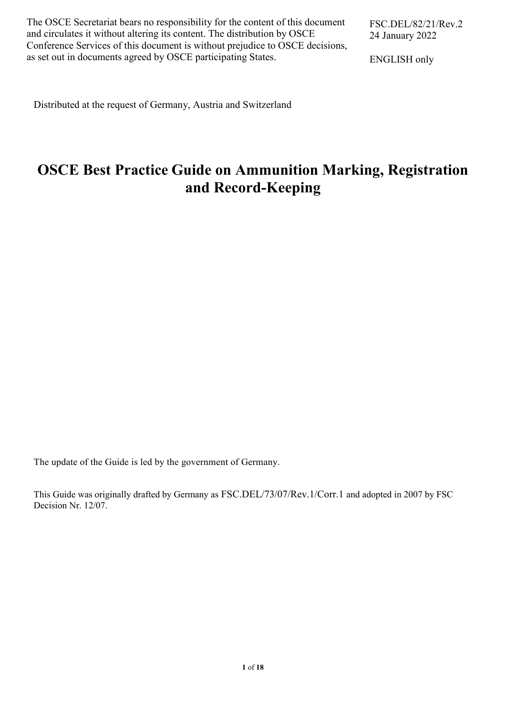The OSCE Secretariat bears no responsibility for the content of this document and circulates it without altering its content. The distribution by OSCE Conference Services of this document is without prejudice to OSCE decisions, as set out in documents agreed by OSCE participating States.

ENGLISH only

Distributed at the request of Germany, Austria and Switzerland

# **OSCE Best Practice Guide on Ammunition Marking, Registration and Record-Keeping**

The update of the Guide is led by the government of Germany.

This Guide was originally drafted by Germany as FSC.DEL/73/07/Rev.1/Corr.1 and adopted in 2007 by FSC Decision Nr. 12/07.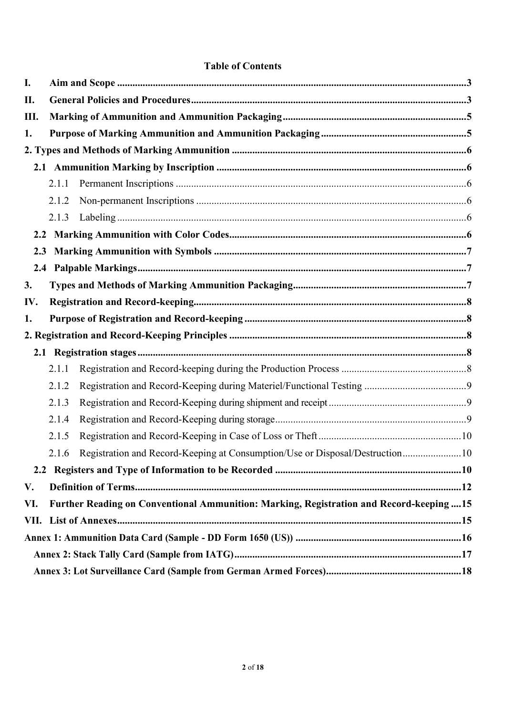#### **Table of Contents**

| I.  |       |                                                                                          |  |
|-----|-------|------------------------------------------------------------------------------------------|--|
| П.  |       |                                                                                          |  |
| Ш.  |       |                                                                                          |  |
| 1.  |       |                                                                                          |  |
|     |       |                                                                                          |  |
|     |       |                                                                                          |  |
|     | 2.1.1 |                                                                                          |  |
|     | 2.1.2 |                                                                                          |  |
|     | 2.1.3 |                                                                                          |  |
| 2.2 |       |                                                                                          |  |
| 2.3 |       |                                                                                          |  |
|     |       |                                                                                          |  |
| 3.  |       |                                                                                          |  |
| IV. |       |                                                                                          |  |
| 1.  |       |                                                                                          |  |
|     |       |                                                                                          |  |
|     |       |                                                                                          |  |
|     | 2.1.1 |                                                                                          |  |
|     | 2.1.2 |                                                                                          |  |
|     | 2.1.3 |                                                                                          |  |
|     | 2.1.4 |                                                                                          |  |
|     | 2.1.5 |                                                                                          |  |
|     | 2.1.6 | Registration and Record-Keeping at Consumption/Use or Disposal/Destruction10             |  |
|     |       |                                                                                          |  |
| V.  |       |                                                                                          |  |
| VI. |       | Further Reading on Conventional Ammunition: Marking, Registration and Record-keeping  15 |  |
|     |       |                                                                                          |  |
|     |       |                                                                                          |  |
|     |       |                                                                                          |  |
|     |       |                                                                                          |  |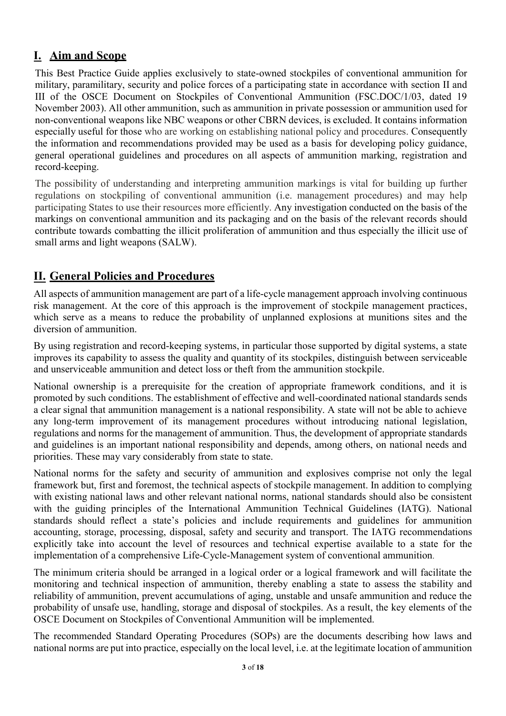### **I. Aim and Scope**

This Best Practice Guide applies exclusively to state-owned stockpiles of conventional ammunition for military, paramilitary, security and police forces of a participating state in accordance with section II and III of the OSCE Document on Stockpiles of Conventional Ammunition (FSC.DOC/1/03, dated 19 November 2003). All other ammunition, such as ammunition in private possession or ammunition used for non-conventional weapons like NBC weapons or other CBRN devices, is excluded. It contains information especially useful for those who are working on establishing national policy and procedures. Consequently the information and recommendations provided may be used as a basis for developing policy guidance, general operational guidelines and procedures on all aspects of ammunition marking, registration and record-keeping.

The possibility of understanding and interpreting ammunition markings is vital for building up further regulations on stockpiling of conventional ammunition (i.e. management procedures) and may help participating States to use their resources more efficiently. Any investigation conducted on the basis of the markings on conventional ammunition and its packaging and on the basis of the relevant records should contribute towards combatting the illicit proliferation of ammunition and thus especially the illicit use of small arms and light weapons (SALW).

### **II. General Policies and Procedures**

All aspects of ammunition management are part of a life-cycle management approach involving continuous risk management. At the core of this approach is the improvement of stockpile management practices, which serve as a means to reduce the probability of unplanned explosions at munitions sites and the diversion of ammunition.

By using registration and record-keeping systems, in particular those supported by digital systems, a state improves its capability to assess the quality and quantity of its stockpiles, distinguish between serviceable and unserviceable ammunition and detect loss or theft from the ammunition stockpile.

National ownership is a prerequisite for the creation of appropriate framework conditions, and it is promoted by such conditions. The establishment of effective and well-coordinated national standards sends a clear signal that ammunition management is a national responsibility. A state will not be able to achieve any long-term improvement of its management procedures without introducing national legislation, regulations and norms for the management of ammunition. Thus, the development of appropriate standards and guidelines is an important national responsibility and depends, among others, on national needs and priorities. These may vary considerably from state to state.

National norms for the safety and security of ammunition and explosives comprise not only the legal framework but, first and foremost, the technical aspects of stockpile management. In addition to complying with existing national laws and other relevant national norms, national standards should also be consistent with the guiding principles of the International Ammunition Technical Guidelines (IATG). National standards should reflect a state's policies and include requirements and guidelines for ammunition accounting, storage, processing, disposal, safety and security and transport. The IATG recommendations explicitly take into account the level of resources and technical expertise available to a state for the implementation of a comprehensive Life-Cycle-Management system of conventional ammunition.

The minimum criteria should be arranged in a logical order or a logical framework and will facilitate the monitoring and technical inspection of ammunition, thereby enabling a state to assess the stability and reliability of ammunition, prevent accumulations of aging, unstable and unsafe ammunition and reduce the probability of unsafe use, handling, storage and disposal of stockpiles. As a result, the key elements of the OSCE Document on Stockpiles of Conventional Ammunition will be implemented.

The recommended Standard Operating Procedures (SOPs) are the documents describing how laws and national norms are put into practice, especially on the local level, i.e. at the legitimate location of ammunition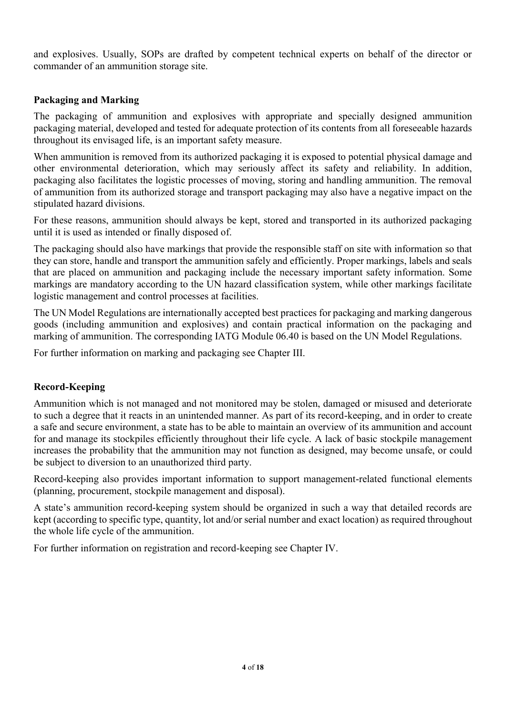and explosives. Usually, SOPs are drafted by competent technical experts on behalf of the director or commander of an ammunition storage site.

#### **Packaging and Marking**

The packaging of ammunition and explosives with appropriate and specially designed ammunition packaging material, developed and tested for adequate protection of its contents from all foreseeable hazards throughout its envisaged life, is an important safety measure.

When ammunition is removed from its authorized packaging it is exposed to potential physical damage and other environmental deterioration, which may seriously affect its safety and reliability. In addition, packaging also facilitates the logistic processes of moving, storing and handling ammunition. The removal of ammunition from its authorized storage and transport packaging may also have a negative impact on the stipulated hazard divisions.

For these reasons, ammunition should always be kept, stored and transported in its authorized packaging until it is used as intended or finally disposed of.

The packaging should also have markings that provide the responsible staff on site with information so that they can store, handle and transport the ammunition safely and efficiently. Proper markings, labels and seals that are placed on ammunition and packaging include the necessary important safety information. Some markings are mandatory according to the UN hazard classification system, while other markings facilitate logistic management and control processes at facilities.

The UN Model Regulations are internationally accepted best practices for packaging and marking dangerous goods (including ammunition and explosives) and contain practical information on the packaging and marking of ammunition. The corresponding IATG Module 06.40 is based on the UN Model Regulations.

For further information on marking and packaging see Chapter III.

#### **Record-Keeping**

Ammunition which is not managed and not monitored may be stolen, damaged or misused and deteriorate to such a degree that it reacts in an unintended manner. As part of its record-keeping, and in order to create a safe and secure environment, a state has to be able to maintain an overview of its ammunition and account for and manage its stockpiles efficiently throughout their life cycle. A lack of basic stockpile management increases the probability that the ammunition may not function as designed, may become unsafe, or could be subject to diversion to an unauthorized third party.

Record-keeping also provides important information to support management-related functional elements (planning, procurement, stockpile management and disposal).

A state's ammunition record-keeping system should be organized in such a way that detailed records are kept (according to specific type, quantity, lot and/or serial number and exact location) as required throughout the whole life cycle of the ammunition.

For further information on registration and record-keeping see Chapter IV.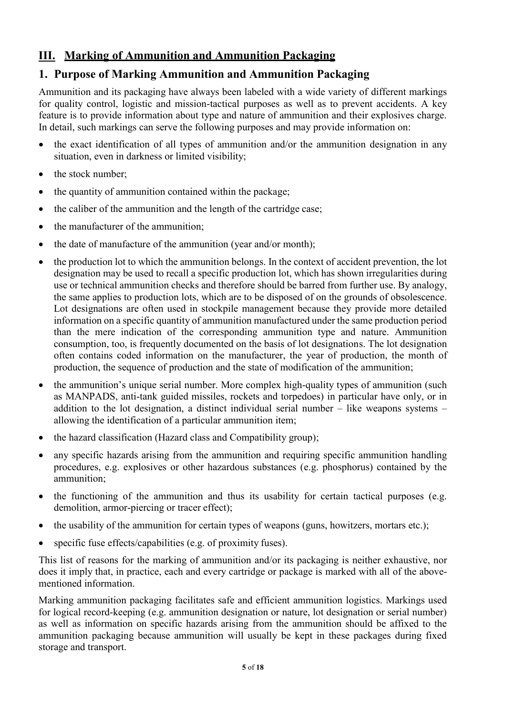## **III. Marking of Ammunition and Ammunition Packaging**

### **1. Purpose of Marking Ammunition and Ammunition Packaging**

Ammunition and its packaging have always been labeled with a wide variety of different markings for quality control, logistic and mission-tactical purposes as well as to prevent accidents. A key feature is to provide information about type and nature of ammunition and their explosives charge. In detail, such markings can serve the following purposes and may provide information on:

- $\bullet$  the exact identification of all types of ammunition and/or the ammunition designation in any situation, even in darkness or limited visibility;
- $\bullet$  the stock number:
- $\bullet$  the quantity of ammunition contained within the package:
- $\bullet$  the caliber of the ammunition and the length of the cartridge case;
- the manufacturer of the ammunition;
- $\bullet$  the date of manufacture of the ammunition (year and/or month);
- the production lot to which the ammunition belongs. In the context of accident prevention, the lot designation may be used to recall a specific production lot, which has shown irregularities during use or technical ammunition checks and therefore should be barred from further use. By analogy, the same applies to production lots, which are to be disposed of on the grounds of obsolescence. Lot designations are often used in stockpile management because they provide more detailed information on a specific quantity of ammunition manufactured under the same production period than the mere indication of the corresponding ammunition type and nature. Ammunition consumption, too, is frequently documented on the basis of lot designations. The lot designation often contains coded information on the manufacturer, the year of production, the month of production, the sequence of production and the state of modification of the ammunition;
- the ammunition's unique serial number. More complex high-quality types of ammunition (such as MANPADS, anti-tank guided missiles, rockets and torpedoes) in particular have only, or in addition to the lot designation, a distinct individual serial number – like weapons systems – allowing the identification of a particular ammunition item;
- the hazard classification (Hazard class and Compatibility group);
- any specific hazards arising from the ammunition and requiring specific ammunition handling procedures, e.g. explosives or other hazardous substances (e.g. phosphorus) contained by the ammunition;
- $\bullet$  the functioning of the ammunition and thus its usability for certain tactical purposes (e.g. demolition, armor-piercing or tracer effect);
- $\bullet$  the usability of the ammunition for certain types of weapons (guns, howitzers, mortars etc.);
- $\bullet$  specific fuse effects/capabilities (e.g. of proximity fuses).

This list of reasons for the marking of ammunition and/or its packaging is neither exhaustive, nor does it imply that, in practice, each and every cartridge or package is marked with all of the abovementioned information.

Marking ammunition packaging facilitates safe and efficient ammunition logistics. Markings used for logical record-keeping (e.g. ammunition designation or nature, lot designation or serial number) as well as information on specific hazards arising from the ammunition should be affixed to the ammunition packaging because ammunition will usually be kept in these packages during fixed storage and transport.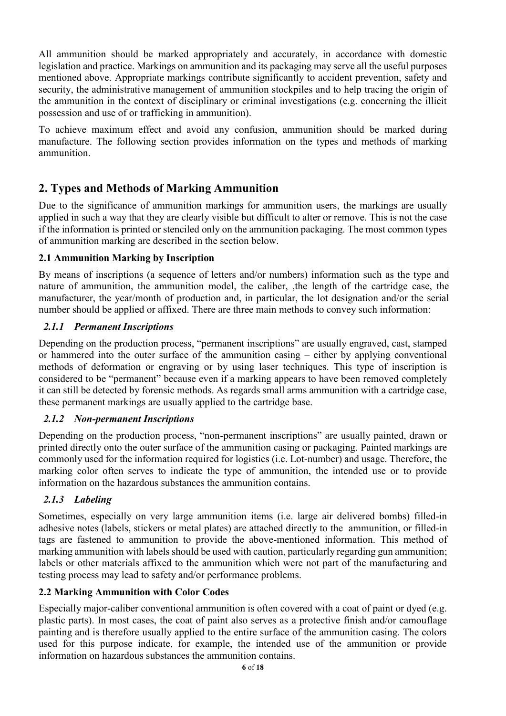All ammunition should be marked appropriately and accurately, in accordance with domestic legislation and practice. Markings on ammunition and its packaging may serve all the useful purposes mentioned above. Appropriate markings contribute significantly to accident prevention, safety and security, the administrative management of ammunition stockpiles and to help tracing the origin of the ammunition in the context of disciplinary or criminal investigations (e.g. concerning the illicit possession and use of or trafficking in ammunition).

To achieve maximum effect and avoid any confusion, ammunition should be marked during manufacture. The following section provides information on the types and methods of marking ammunition.

### **2. Types and Methods of Marking Ammunition**

Due to the significance of ammunition markings for ammunition users, the markings are usually applied in such a way that they are clearly visible but difficult to alter or remove. This is not the case if the information is printed or stenciled only on the ammunition packaging. The most common types of ammunition marking are described in the section below.

#### **2.1 Ammunition Marking by Inscription**

By means of inscriptions (a sequence of letters and/or numbers) information such as the type and nature of ammunition, the ammunition model, the caliber, ,the length of the cartridge case, the manufacturer, the year/month of production and, in particular, the lot designation and/or the serial number should be applied or affixed. There are three main methods to convey such information:

#### *2.1.1 Permanent Inscriptions*

Depending on the production process, "permanent inscriptions" are usually engraved, cast, stamped or hammered into the outer surface of the ammunition casing – either by applying conventional methods of deformation or engraving or by using laser techniques. This type of inscription is considered to be "permanent" because even if a marking appears to have been removed completely it can still be detected by forensic methods. As regards small arms ammunition with a cartridge case, these permanent markings are usually applied to the cartridge base.

#### *2.1.2 Non-permanent Inscriptions*

Depending on the production process, "non-permanent inscriptions" are usually painted, drawn or printed directly onto the outer surface of the ammunition casing or packaging. Painted markings are commonly used for the information required for logistics (i.e. Lot-number) and usage. Therefore, the marking color often serves to indicate the type of ammunition, the intended use or to provide information on the hazardous substances the ammunition contains.

#### *2.1.3 Labeling*

Sometimes, especially on very large ammunition items (i.e. large air delivered bombs) filled-in adhesive notes (labels, stickers or metal plates) are attached directly to the ammunition, or filled-in tags are fastened to ammunition to provide the above-mentioned information. This method of marking ammunition with labels should be used with caution, particularly regarding gun ammunition; labels or other materials affixed to the ammunition which were not part of the manufacturing and testing process may lead to safety and/or performance problems.

#### **2.2 Marking Ammunition with Color Codes**

Especially major-caliber conventional ammunition is often covered with a coat of paint or dyed (e.g. plastic parts). In most cases, the coat of paint also serves as a protective finish and/or camouflage painting and is therefore usually applied to the entire surface of the ammunition casing. The colors used for this purpose indicate, for example, the intended use of the ammunition or provide information on hazardous substances the ammunition contains.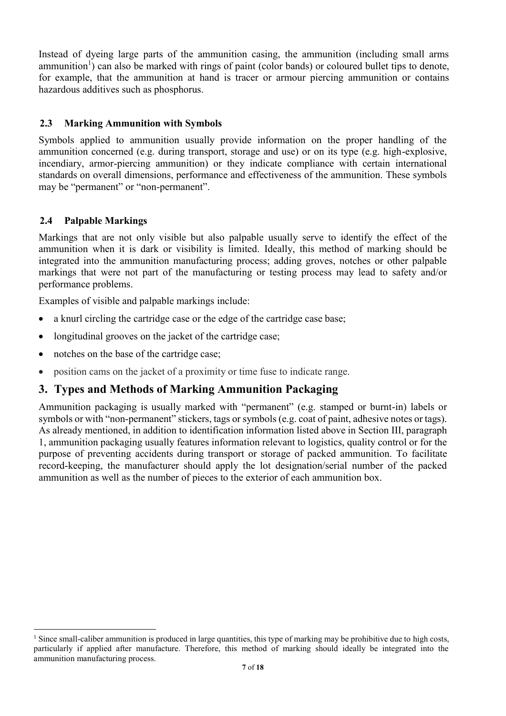Instead of dyeing large parts of the ammunition casing, the ammunition (including small arms ammunition<sup>1</sup>) can also be marked with rings of paint (color bands) or coloured bullet tips to denote, for example, that the ammunition at hand is tracer or armour piercing ammunition or contains hazardous additives such as phosphorus.

#### **2.3 Marking Ammunition with Symbols**

Symbols applied to ammunition usually provide information on the proper handling of the ammunition concerned (e.g. during transport, storage and use) or on its type (e.g. high-explosive, incendiary, armor-piercing ammunition) or they indicate compliance with certain international standards on overall dimensions, performance and effectiveness of the ammunition. These symbols may be "permanent" or "non-permanent".

#### **2.4 Palpable Markings**

Markings that are not only visible but also palpable usually serve to identify the effect of the ammunition when it is dark or visibility is limited. Ideally, this method of marking should be integrated into the ammunition manufacturing process; adding groves, notches or other palpable markings that were not part of the manufacturing or testing process may lead to safety and/or performance problems.

Examples of visible and palpable markings include:

- a knurl circling the cartridge case or the edge of the cartridge case base;
- longitudinal grooves on the jacket of the cartridge case;
- notches on the base of the cartridge case;
- position cams on the jacket of a proximity or time fuse to indicate range.

### **3. Types and Methods of Marking Ammunition Packaging**

Ammunition packaging is usually marked with "permanent" (e.g. stamped or burnt-in) labels or symbols or with "non-permanent" stickers, tags or symbols (e.g. coat of paint, adhesive notes or tags). As already mentioned, in addition to identification information listed above in Section III, paragraph 1, ammunition packaging usually features information relevant to logistics, quality control or for the purpose of preventing accidents during transport or storage of packed ammunition. To facilitate record-keeping, the manufacturer should apply the lot designation/serial number of the packed ammunition as well as the number of pieces to the exterior of each ammunition box.

<sup>&</sup>lt;sup>1</sup> Since small-caliber ammunition is produced in large quantities, this type of marking may be prohibitive due to high costs, particularly if applied after manufacture. Therefore, this method of marking should ideally be integrated into the ammunition manufacturing process.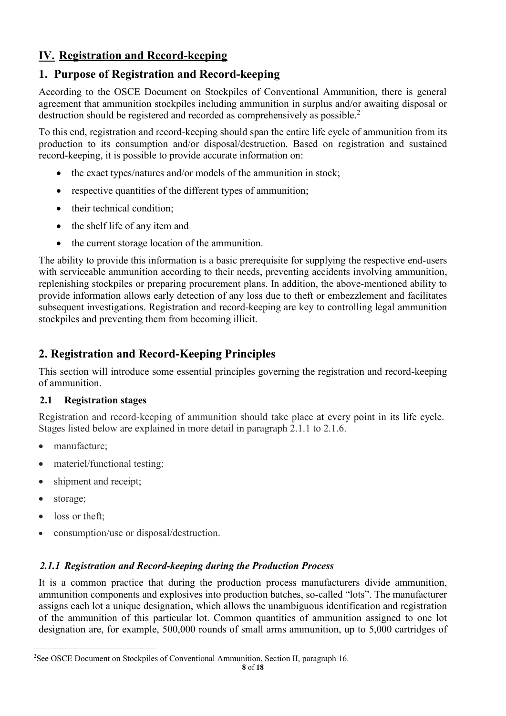## **IV. Registration and Record-keeping**

### **1. Purpose of Registration and Record-keeping**

According to the OSCE Document on Stockpiles of Conventional Ammunition, there is general agreement that ammunition stockpiles including ammunition in surplus and/or awaiting disposal or destruction should be registered and recorded as comprehensively as possible.<sup>2</sup>

To this end, registration and record-keeping should span the entire life cycle of ammunition from its production to its consumption and/or disposal/destruction. Based on registration and sustained record-keeping, it is possible to provide accurate information on:

- $\bullet$  the exact types/natures and/or models of the ammunition in stock;
- $\bullet$  respective quantities of the different types of ammunition;
- $\bullet$  their technical condition;
- the shelf life of any item and
- the current storage location of the ammunition.

The ability to provide this information is a basic prerequisite for supplying the respective end-users with serviceable ammunition according to their needs, preventing accidents involving ammunition, replenishing stockpiles or preparing procurement plans. In addition, the above-mentioned ability to provide information allows early detection of any loss due to theft or embezzlement and facilitates subsequent investigations. Registration and record-keeping are key to controlling legal ammunition stockpiles and preventing them from becoming illicit.

### **2. Registration and Record-Keeping Principles**

This section will introduce some essential principles governing the registration and record-keeping of ammunition.

#### **2.1 Registration stages**

Registration and record-keeping of ammunition should take place at every point in its life cycle. Stages listed below are explained in more detail in paragraph 2.1.1 to 2.1.6.

- manufacture:
- materiel/functional testing:
- shipment and receipt;
- storage;
- $\bullet$  loss or theft;
- consumption/use or disposal/destruction.

#### *2.1.1 Registration and Record-keeping during the Production Process*

It is a common practice that during the production process manufacturers divide ammunition, ammunition components and explosives into production batches, so-called "lots". The manufacturer assigns each lot a unique designation, which allows the unambiguous identification and registration of the ammunition of this particular lot. Common quantities of ammunition assigned to one lot designation are, for example, 500,000 rounds of small arms ammunition, up to 5,000 cartridges of

 $\frac{1}{2}$ <sup>2</sup>See OSCE Document on Stockpiles of Conventional Ammunition, Section II, paragraph 16.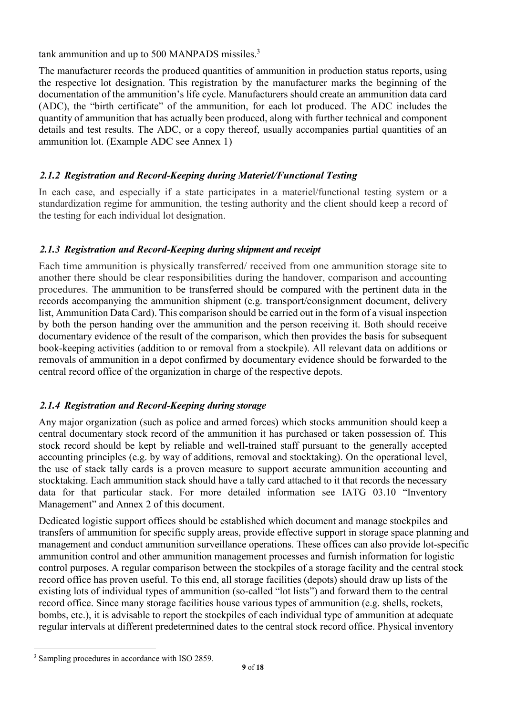tank ammunition and up to 500 MANPADS missiles.<sup>3</sup>

The manufacturer records the produced quantities of ammunition in production status reports, using the respective lot designation. This registration by the manufacturer marks the beginning of the documentation of the ammunition's life cycle. Manufacturers should create an ammunition data card (ADC), the "birth certificate" of the ammunition, for each lot produced. The ADC includes the quantity of ammunition that has actually been produced, along with further technical and component details and test results. The ADC, or a copy thereof, usually accompanies partial quantities of an ammunition lot. (Example ADC see Annex 1)

#### *2.1.2 Registration and Record-Keeping during Materiel/Functional Testing*

In each case, and especially if a state participates in a materiel/functional testing system or a standardization regime for ammunition, the testing authority and the client should keep a record of the testing for each individual lot designation.

#### *2.1.3 Registration and Record-Keeping during shipment and receipt*

Each time ammunition is physically transferred/ received from one ammunition storage site to another there should be clear responsibilities during the handover, comparison and accounting procedures. The ammunition to be transferred should be compared with the pertinent data in the records accompanying the ammunition shipment (e.g. transport/consignment document, delivery list, Ammunition Data Card). This comparison should be carried out in the form of a visual inspection by both the person handing over the ammunition and the person receiving it. Both should receive documentary evidence of the result of the comparison, which then provides the basis for subsequent book-keeping activities (addition to or removal from a stockpile). All relevant data on additions or removals of ammunition in a depot confirmed by documentary evidence should be forwarded to the central record office of the organization in charge of the respective depots.

#### *2.1.4 Registration and Record-Keeping during storage*

Any major organization (such as police and armed forces) which stocks ammunition should keep a central documentary stock record of the ammunition it has purchased or taken possession of. This stock record should be kept by reliable and well-trained staff pursuant to the generally accepted accounting principles (e.g. by way of additions, removal and stocktaking). On the operational level, the use of stack tally cards is a proven measure to support accurate ammunition accounting and stocktaking. Each ammunition stack should have a tally card attached to it that records the necessary data for that particular stack. For more detailed information see IATG 03.10 "Inventory Management" and Annex 2 of this document.

Dedicated logistic support offices should be established which document and manage stockpiles and transfers of ammunition for specific supply areas, provide effective support in storage space planning and management and conduct ammunition surveillance operations. These offices can also provide lot-specific ammunition control and other ammunition management processes and furnish information for logistic control purposes. A regular comparison between the stockpiles of a storage facility and the central stock record office has proven useful. To this end, all storage facilities (depots) should draw up lists of the existing lots of individual types of ammunition (so-called "lot lists") and forward them to the central record office. Since many storage facilities house various types of ammunition (e.g. shells, rockets, bombs, etc.), it is advisable to report the stockpiles of each individual type of ammunition at adequate regular intervals at different predetermined dates to the central stock record office. Physical inventory

 <sup>3</sup> Sampling procedures in accordance with ISO 2859.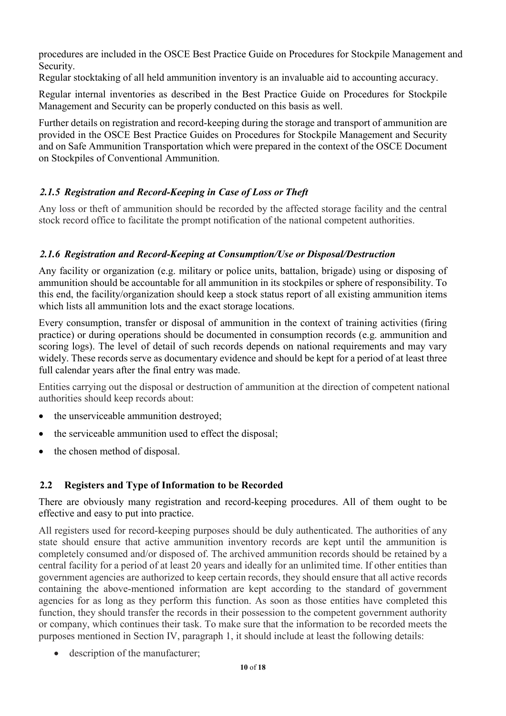procedures are included in the OSCE Best Practice Guide on Procedures for Stockpile Management and Security.

Regular stocktaking of all held ammunition inventory is an invaluable aid to accounting accuracy.

Regular internal inventories as described in the Best Practice Guide on Procedures for Stockpile Management and Security can be properly conducted on this basis as well.

Further details on registration and record-keeping during the storage and transport of ammunition are provided in the OSCE Best Practice Guides on Procedures for Stockpile Management and Security and on Safe Ammunition Transportation which were prepared in the context of the OSCE Document on Stockpiles of Conventional Ammunition.

### *2.1.5 Registration and Record-Keeping in Case of Loss or Theft*

Any loss or theft of ammunition should be recorded by the affected storage facility and the central stock record office to facilitate the prompt notification of the national competent authorities.

### *2.1.6 Registration and Record-Keeping at Consumption/Use or Disposal/Destruction*

Any facility or organization (e.g. military or police units, battalion, brigade) using or disposing of ammunition should be accountable for all ammunition in its stockpiles or sphere of responsibility. To this end, the facility/organization should keep a stock status report of all existing ammunition items which lists all ammunition lots and the exact storage locations.

Every consumption, transfer or disposal of ammunition in the context of training activities (firing practice) or during operations should be documented in consumption records (e.g. ammunition and scoring logs). The level of detail of such records depends on national requirements and may vary widely. These records serve as documentary evidence and should be kept for a period of at least three full calendar years after the final entry was made.

Entities carrying out the disposal or destruction of ammunition at the direction of competent national authorities should keep records about:

- the unserviceable ammunition destroyed;
- $\bullet$  the serviceable ammunition used to effect the disposal:
- the chosen method of disposal.

### **2.2 Registers and Type of Information to be Recorded**

There are obviously many registration and record-keeping procedures. All of them ought to be effective and easy to put into practice.

All registers used for record-keeping purposes should be duly authenticated. The authorities of any state should ensure that active ammunition inventory records are kept until the ammunition is completely consumed and/or disposed of. The archived ammunition records should be retained by a central facility for a period of at least 20 years and ideally for an unlimited time. If other entities than government agencies are authorized to keep certain records, they should ensure that all active records containing the above-mentioned information are kept according to the standard of government agencies for as long as they perform this function. As soon as those entities have completed this function, they should transfer the records in their possession to the competent government authority or company, which continues their task. To make sure that the information to be recorded meets the purposes mentioned in Section IV, paragraph 1, it should include at least the following details:

• description of the manufacturer;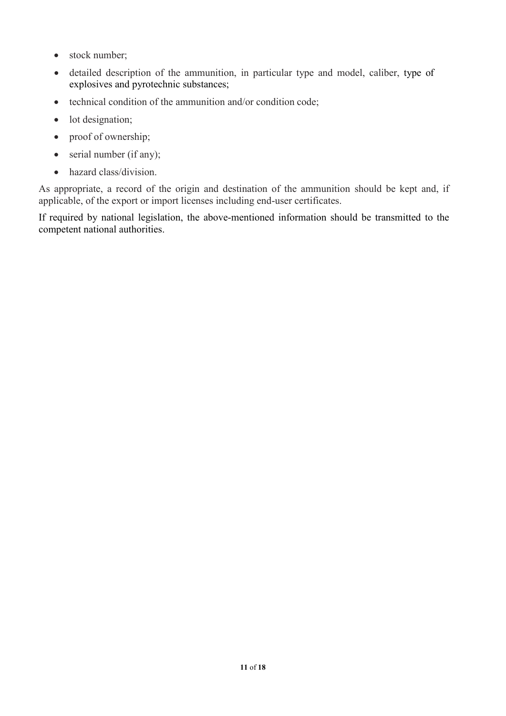- $\bullet$  stock number;
- detailed description of the ammunition, in particular type and model, caliber, type of explosives and pyrotechnic substances;
- $\bullet$  technical condition of the ammunition and/or condition code;
- $\bullet$  lot designation;
- $\bullet$  proof of ownership;
- $\bullet$  serial number (if any);
- hazard class/division.

As appropriate, a record of the origin and destination of the ammunition should be kept and, if applicable, of the export or import licenses including end-user certificates.

If required by national legislation, the above-mentioned information should be transmitted to the competent national authorities.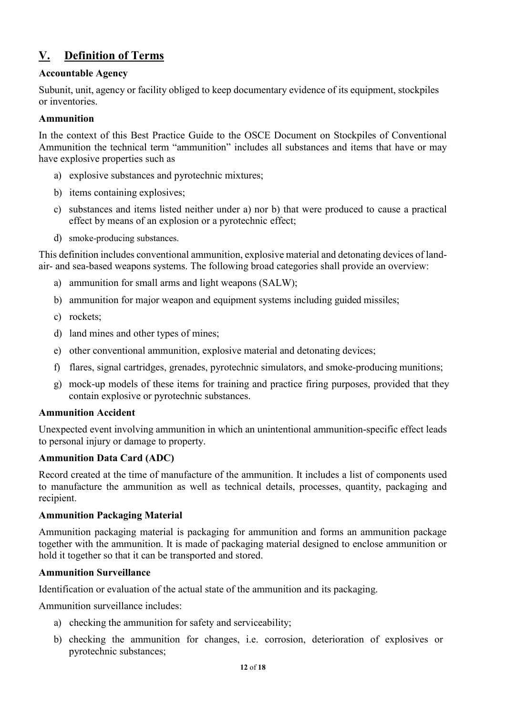## **V. Definition of Terms**

#### **Accountable Agency**

Subunit, unit, agency or facility obliged to keep documentary evidence of its equipment, stockpiles or inventories.

#### **Ammunition**

In the context of this Best Practice Guide to the OSCE Document on Stockpiles of Conventional Ammunition the technical term "ammunition" includes all substances and items that have or may have explosive properties such as

- a) explosive substances and pyrotechnic mixtures;
- b) items containing explosives;
- c) substances and items listed neither under a) nor b) that were produced to cause a practical effect by means of an explosion or a pyrotechnic effect;
- d) smoke-producing substances.

This definition includes conventional ammunition, explosive material and detonating devices of landair- and sea-based weapons systems. The following broad categories shall provide an overview:

- a) ammunition for small arms and light weapons (SALW);
- b) ammunition for major weapon and equipment systems including guided missiles;
- c) rockets;
- d) land mines and other types of mines;
- e) other conventional ammunition, explosive material and detonating devices;
- f) flares, signal cartridges, grenades, pyrotechnic simulators, and smoke-producing munitions;
- g) mock-up models of these items for training and practice firing purposes, provided that they contain explosive or pyrotechnic substances.

#### **Ammunition Accident**

Unexpected event involving ammunition in which an unintentional ammunition-specific effect leads to personal injury or damage to property.

#### **Ammunition Data Card (ADC)**

Record created at the time of manufacture of the ammunition. It includes a list of components used to manufacture the ammunition as well as technical details, processes, quantity, packaging and recipient.

#### **Ammunition Packaging Material**

Ammunition packaging material is packaging for ammunition and forms an ammunition package together with the ammunition. It is made of packaging material designed to enclose ammunition or hold it together so that it can be transported and stored.

#### **Ammunition Surveillance**

Identification or evaluation of the actual state of the ammunition and its packaging.

Ammunition surveillance includes:

- a) checking the ammunition for safety and serviceability;
- b) checking the ammunition for changes, i.e. corrosion, deterioration of explosives or pyrotechnic substances;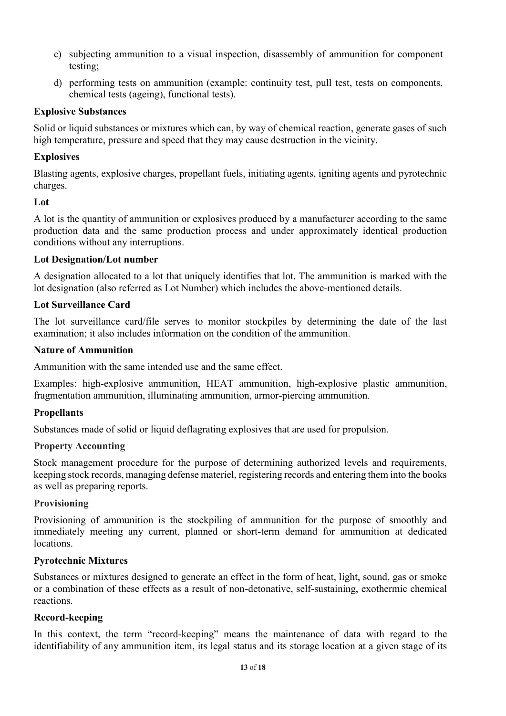- c) subjecting ammunition to a visual inspection, disassembly of ammunition for component testing;
- d) performing tests on ammunition (example: continuity test, pull test, tests on components, chemical tests (ageing), functional tests).

#### **Explosive Substances**

Solid or liquid substances or mixtures which can, by way of chemical reaction, generate gases of such high temperature, pressure and speed that they may cause destruction in the vicinity.

#### **Explosives**

Blasting agents, explosive charges, propellant fuels, initiating agents, igniting agents and pyrotechnic charges.

#### **Lot**

A lot is the quantity of ammunition or explosives produced by a manufacturer according to the same production data and the same production process and under approximately identical production conditions without any interruptions.

#### **Lot Designation/Lot number**

A designation allocated to a lot that uniquely identifies that lot. The ammunition is marked with the lot designation (also referred as Lot Number) which includes the above-mentioned details.

#### **Lot Surveillance Card**

The lot surveillance card/file serves to monitor stockpiles by determining the date of the last examination; it also includes information on the condition of the ammunition.

#### **Nature of Ammunition**

Ammunition with the same intended use and the same effect.

Examples: high-explosive ammunition, HEAT ammunition, high-explosive plastic ammunition, fragmentation ammunition, illuminating ammunition, armor-piercing ammunition.

#### **Propellants**

Substances made of solid or liquid deflagrating explosives that are used for propulsion.

#### **Property Accounting**

Stock management procedure for the purpose of determining authorized levels and requirements, keeping stock records, managing defense materiel, registering records and entering them into the books as well as preparing reports.

#### **Provisioning**

Provisioning of ammunition is the stockpiling of ammunition for the purpose of smoothly and immediately meeting any current, planned or short-term demand for ammunition at dedicated locations.

#### **Pyrotechnic Mixtures**

Substances or mixtures designed to generate an effect in the form of heat, light, sound, gas or smoke or a combination of these effects as a result of non-detonative, self-sustaining, exothermic chemical reactions.

#### **Record-keeping**

In this context, the term "record-keeping" means the maintenance of data with regard to the identifiability of any ammunition item, its legal status and its storage location at a given stage of its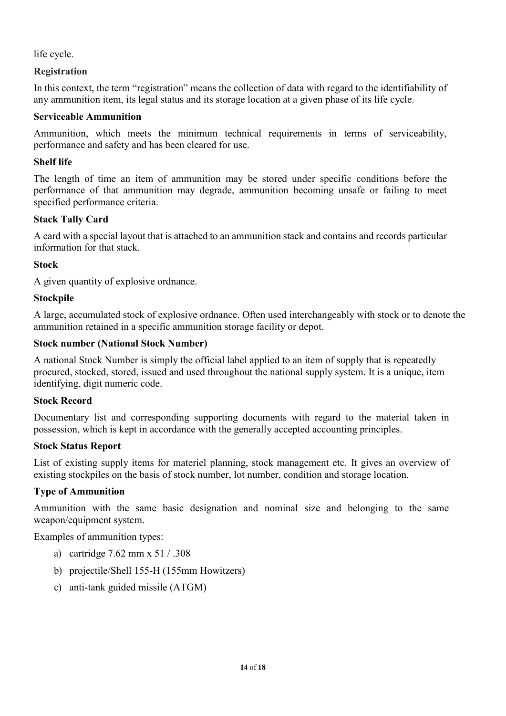life cycle.

#### **Registration**

In this context, the term "registration" means the collection of data with regard to the identifiability of any ammunition item, its legal status and its storage location at a given phase of its life cycle.

#### **Serviceable Ammunition**

Ammunition, which meets the minimum technical requirements in terms of serviceability, performance and safety and has been cleared for use.

#### **Shelf life**

The length of time an item of ammunition may be stored under specific conditions before the performance of that ammunition may degrade, ammunition becoming unsafe or failing to meet specified performance criteria.

#### **Stack Tally Card**

A card with a special layout that is attached to an ammunition stack and contains and records particular information for that stack.

#### **Stock**

A given quantity of explosive ordnance.

#### **Stockpile**

A large, accumulated stock of explosive ordnance. Often used interchangeably with stock or to denote the ammunition retained in a specific ammunition storage facility or depot.

#### **Stock number (National Stock Number)**

A national Stock Number is simply the official label applied to an item of supply that is repeatedly procured, stocked, stored, issued and used throughout the national supply system. It is a unique, item identifying, digit numeric code.

#### **Stock Record**

Documentary list and corresponding supporting documents with regard to the material taken in possession, which is kept in accordance with the generally accepted accounting principles.

#### **Stock Status Report**

List of existing supply items for materiel planning, stock management etc. It gives an overview of existing stockpiles on the basis of stock number, lot number, condition and storage location.

#### **Type of Ammunition**

Ammunition with the same basic designation and nominal size and belonging to the same weapon/equipment system.

Examples of ammunition types:

- a) cartridge 7.62 mm x 51 / .308
- b) projectile/Shell 155-H (155mm Howitzers)
- c) anti-tank guided missile (ATGM)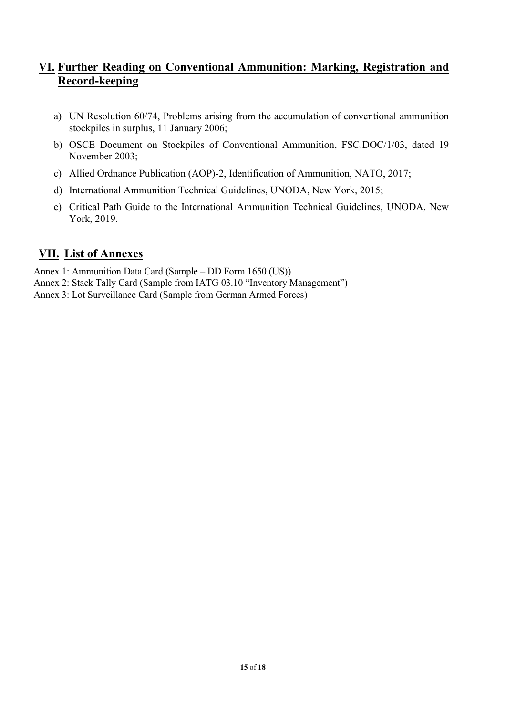### **VI. Further Reading on Conventional Ammunition: Marking, Registration and Record-keeping**

- a) UN Resolution 60/74, Problems arising from the accumulation of conventional ammunition stockpiles in surplus, 11 January 2006;
- b) OSCE Document on Stockpiles of Conventional Ammunition, FSC.DOC/1/03, dated 19 November 2003;
- c) Allied Ordnance Publication (AOP)-2, Identification of Ammunition, NATO, 2017;
- d) International Ammunition Technical Guidelines, UNODA, New York, 2015;
- e) Critical Path Guide to the International Ammunition Technical Guidelines, UNODA, New York, 2019.

### **VII. List of Annexes**

Annex 1: Ammunition Data Card (Sample – DD Form 1650 (US))

- Annex 2: Stack Tally Card (Sample from IATG 03.10 "Inventory Management")
- Annex 3: Lot Surveillance Card (Sample from German Armed Forces)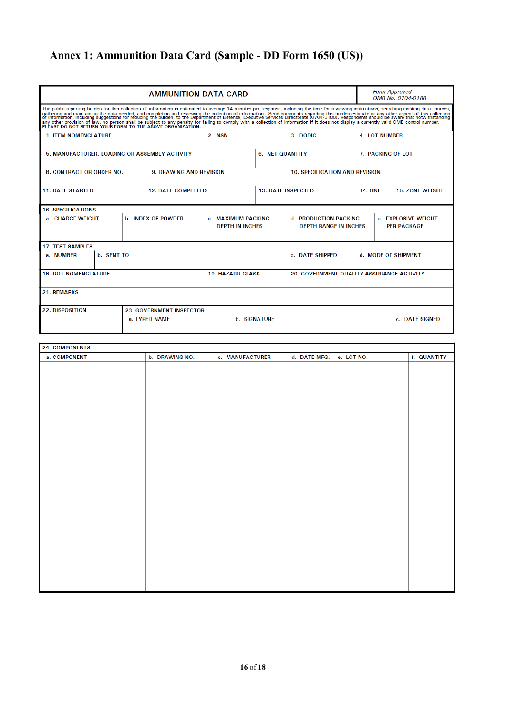# **Annex 1: Ammunition Data Card (Sample - DD Form 1650 (US))**

×

| <b>AMMUNITION DATA CARD</b>                                                                                                                                                                                                                                                                                                                                                                                                                                                                                                                                                                                                                                                                    |                                                                           |                                |                        |                                                       |                                           |                                           |                      |                        | <b>Form Approved</b><br>OMB No. 0704-0188 |  |
|------------------------------------------------------------------------------------------------------------------------------------------------------------------------------------------------------------------------------------------------------------------------------------------------------------------------------------------------------------------------------------------------------------------------------------------------------------------------------------------------------------------------------------------------------------------------------------------------------------------------------------------------------------------------------------------------|---------------------------------------------------------------------------|--------------------------------|------------------------|-------------------------------------------------------|-------------------------------------------|-------------------------------------------|----------------------|------------------------|-------------------------------------------|--|
| The public reporting burden for this collection of information is estimated to average 14 minutes per response, including the time for reviewing instructions, searching existing data sources,<br>gathering and maintaining the data needed, and completing and reviewing the collection of information. Send comments regarding this burden estimate or any other aspect of this collection<br>of information, including suggestio<br>any other provision of law, no person shall be subject to any penalty for failing to comply with a collection of information if it does not display a currently valid OMB control number.<br>PLEASE DO NOT RETURN YOUR FORM TO THE ABOVE ORGANIZATION. |                                                                           |                                |                        |                                                       |                                           |                                           |                      |                        |                                           |  |
| <b>1. ITEM NOMENCLATURE</b>                                                                                                                                                                                                                                                                                                                                                                                                                                                                                                                                                                                                                                                                    |                                                                           |                                | 2. NSN                 |                                                       |                                           | 3. DODIC                                  | <b>4. LOT NUMBER</b> |                        |                                           |  |
| 5. MANUFACTURER, LOADING OR ASSEMBLY ACTIVITY                                                                                                                                                                                                                                                                                                                                                                                                                                                                                                                                                                                                                                                  |                                                                           |                                | <b>6. NET QUANTITY</b> |                                                       |                                           | 7. PACKING OF LOT                         |                      |                        |                                           |  |
| 8. CONTRACT OR ORDER NO.                                                                                                                                                                                                                                                                                                                                                                                                                                                                                                                                                                                                                                                                       |                                                                           | <b>9. DRAWING AND REVISION</b> |                        |                                                       |                                           | <b>10. SPECIFICATION AND REVISION</b>     |                      |                        |                                           |  |
| <b>11. DATE STARTED</b>                                                                                                                                                                                                                                                                                                                                                                                                                                                                                                                                                                                                                                                                        |                                                                           | <b>12. DATE COMPLETED</b>      |                        | <b>13. DATE INSPECTED</b>                             |                                           | <b>14. LINE</b>                           |                      | <b>15. ZONE WEIGHT</b> |                                           |  |
| <b>16. SPECIFICATIONS</b>                                                                                                                                                                                                                                                                                                                                                                                                                                                                                                                                                                                                                                                                      |                                                                           |                                |                        |                                                       |                                           |                                           |                      |                        |                                           |  |
| a. CHARGF WFIGHT                                                                                                                                                                                                                                                                                                                                                                                                                                                                                                                                                                                                                                                                               | <b>b. INDEX OF POWDER</b><br>c. MAXIMUM PACKING<br><b>DEPTH IN INCHES</b> |                                |                        | d. PRODUCTION PACKING<br><b>DEPTH RANGE IN INCHES</b> | e. FXPLOSIVE WEIGHT<br><b>PER PACKAGE</b> |                                           |                      |                        |                                           |  |
| <b>17. TEST SAMPLES</b>                                                                                                                                                                                                                                                                                                                                                                                                                                                                                                                                                                                                                                                                        |                                                                           |                                |                        |                                                       |                                           |                                           |                      |                        |                                           |  |
| b. SENT TO<br>a. NUMBER                                                                                                                                                                                                                                                                                                                                                                                                                                                                                                                                                                                                                                                                        |                                                                           |                                |                        |                                                       | c. DATE SHIPPED                           |                                           |                      | d. MODE OF SHIPMENT    |                                           |  |
| <b>18. DOT NOMENCLATURE</b>                                                                                                                                                                                                                                                                                                                                                                                                                                                                                                                                                                                                                                                                    |                                                                           |                                |                        | <b>19. HAZARD CLASS</b>                               |                                           | 20. GOVERNMENT OUALITY ASSURANCE ACTIVITY |                      |                        |                                           |  |
| 21. REMARKS                                                                                                                                                                                                                                                                                                                                                                                                                                                                                                                                                                                                                                                                                    |                                                                           |                                |                        |                                                       |                                           |                                           |                      |                        |                                           |  |
| <b>22. DISPOSITION</b><br>23. GOVERNMENT INSPECTOR                                                                                                                                                                                                                                                                                                                                                                                                                                                                                                                                                                                                                                             |                                                                           |                                |                        |                                                       |                                           |                                           |                      |                        |                                           |  |
| a. TYPED NAME                                                                                                                                                                                                                                                                                                                                                                                                                                                                                                                                                                                                                                                                                  |                                                                           |                                |                        | <b>b. SIGNATURE</b>                                   |                                           |                                           |                      |                        | c. DATE SIGNED                            |  |

| a. COMPONENT | b. DRAWING NO. | c. MANUFACTURER | d. DATE MFG. | e. LOT NO. | f. QUANTITY |
|--------------|----------------|-----------------|--------------|------------|-------------|
|              |                |                 |              |            |             |
|              |                |                 |              |            |             |
|              |                |                 |              |            |             |
|              |                |                 |              |            |             |
|              |                |                 |              |            |             |
|              |                |                 |              |            |             |
|              |                |                 |              |            |             |
|              |                |                 |              |            |             |
|              |                |                 |              |            |             |
|              |                |                 |              |            |             |
|              |                |                 |              |            |             |
|              |                |                 |              |            |             |
|              |                |                 |              |            |             |
|              |                |                 |              |            |             |
|              |                |                 |              |            |             |
|              |                |                 |              |            |             |
|              |                |                 |              |            |             |
|              |                |                 |              |            |             |
|              |                |                 |              |            |             |
|              |                |                 |              |            |             |
|              |                |                 |              |            |             |
|              |                |                 |              |            |             |
|              |                |                 |              |            |             |
|              |                |                 |              |            |             |
|              |                |                 |              |            |             |
|              |                |                 |              |            |             |
|              |                |                 |              |            |             |
|              |                |                 |              |            |             |
|              |                |                 |              |            |             |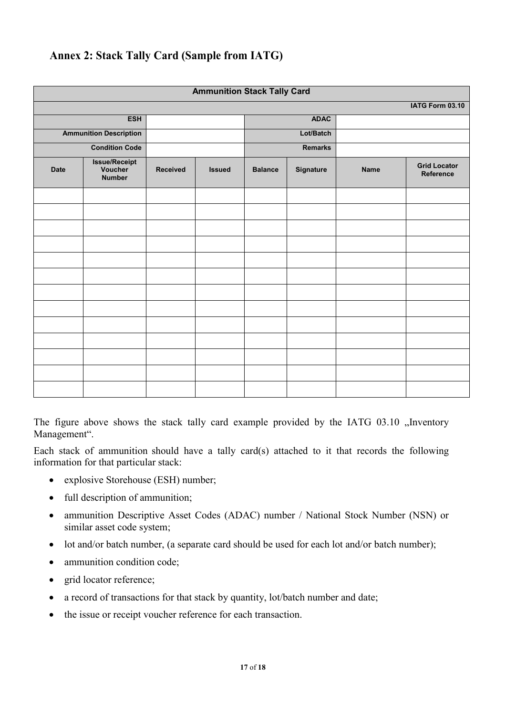### **Annex 2: Stack Tally Card (Sample from IATG)**

| <b>Ammunition Stack Tally Card</b> |                                                  |  |               |                |             |             |                                  |  |  |
|------------------------------------|--------------------------------------------------|--|---------------|----------------|-------------|-------------|----------------------------------|--|--|
| IATG Form 03.10                    |                                                  |  |               |                |             |             |                                  |  |  |
|                                    | <b>ESH</b>                                       |  |               |                | <b>ADAC</b> |             |                                  |  |  |
|                                    | <b>Ammunition Description</b>                    |  |               |                | Lot/Batch   |             |                                  |  |  |
|                                    | <b>Condition Code</b>                            |  |               | <b>Remarks</b> |             |             |                                  |  |  |
| <b>Date</b>                        | <b>Issue/Receipt</b><br>Voucher<br><b>Number</b> |  | <b>Issued</b> | <b>Balance</b> | Signature   | <b>Name</b> | <b>Grid Locator</b><br>Reference |  |  |
|                                    |                                                  |  |               |                |             |             |                                  |  |  |
|                                    |                                                  |  |               |                |             |             |                                  |  |  |
|                                    |                                                  |  |               |                |             |             |                                  |  |  |
|                                    |                                                  |  |               |                |             |             |                                  |  |  |
|                                    |                                                  |  |               |                |             |             |                                  |  |  |
|                                    |                                                  |  |               |                |             |             |                                  |  |  |
|                                    |                                                  |  |               |                |             |             |                                  |  |  |
|                                    |                                                  |  |               |                |             |             |                                  |  |  |
|                                    |                                                  |  |               |                |             |             |                                  |  |  |
|                                    |                                                  |  |               |                |             |             |                                  |  |  |
|                                    |                                                  |  |               |                |             |             |                                  |  |  |
|                                    |                                                  |  |               |                |             |             |                                  |  |  |
|                                    |                                                  |  |               |                |             |             |                                  |  |  |

The figure above shows the stack tally card example provided by the IATG 03.10 "Inventory Management".

Each stack of ammunition should have a tally card(s) attached to it that records the following information for that particular stack:

- explosive Storehouse (ESH) number;
- full description of ammunition;
- ammunition Descriptive Asset Codes (ADAC) number / National Stock Number (NSN) or similar asset code system;
- lot and/or batch number, (a separate card should be used for each lot and/or batch number);
- ammunition condition code;
- $\bullet$  grid locator reference;
- $\bullet$  a record of transactions for that stack by quantity, lot/batch number and date;
- the issue or receipt voucher reference for each transaction.